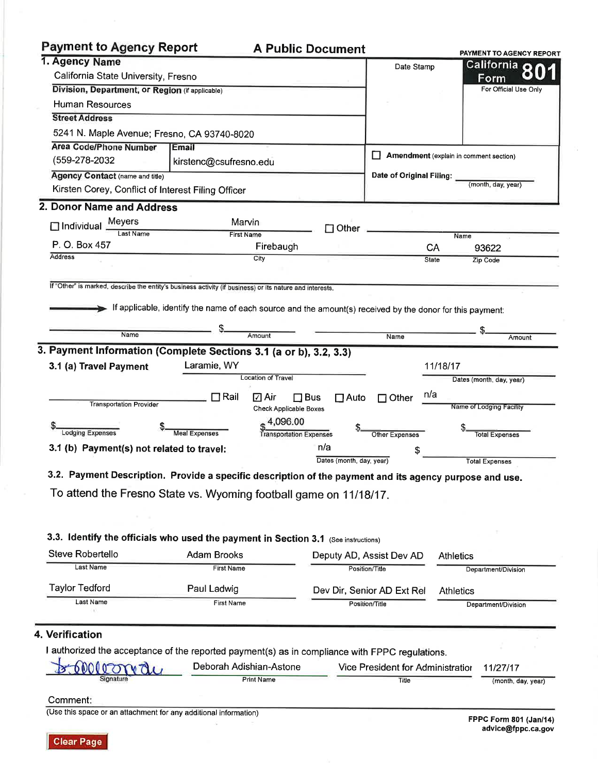## m.

| Payment to Agency Report                                                                                                                                                                                                                                                                                                                                                                            |                                                                                                           |                           |                          |                            |                  | PAYMENT TO AGENCY REPORT               |
|-----------------------------------------------------------------------------------------------------------------------------------------------------------------------------------------------------------------------------------------------------------------------------------------------------------------------------------------------------------------------------------------------------|-----------------------------------------------------------------------------------------------------------|---------------------------|--------------------------|----------------------------|------------------|----------------------------------------|
| 1. Agency Name                                                                                                                                                                                                                                                                                                                                                                                      |                                                                                                           |                           |                          | Date Stamp                 |                  | California o                           |
| California State University, Fresno                                                                                                                                                                                                                                                                                                                                                                 |                                                                                                           |                           |                          |                            |                  | Form                                   |
| Division, Department, or Region (if applicable)                                                                                                                                                                                                                                                                                                                                                     |                                                                                                           |                           |                          |                            |                  | For Official Use Only                  |
| Human Resources                                                                                                                                                                                                                                                                                                                                                                                     |                                                                                                           |                           |                          |                            |                  |                                        |
| <b>Street Address</b>                                                                                                                                                                                                                                                                                                                                                                               |                                                                                                           |                           |                          |                            |                  |                                        |
| 5241 N. Maple Avenue; Fresno, CA 93740-8020                                                                                                                                                                                                                                                                                                                                                         |                                                                                                           |                           |                          |                            |                  |                                        |
| <b>Area Code/Phone Number</b>                                                                                                                                                                                                                                                                                                                                                                       | Email                                                                                                     |                           |                          |                            |                  | Amendment (explain in comment section) |
| (559-278-2032                                                                                                                                                                                                                                                                                                                                                                                       | kirstenc@csufresno.edu                                                                                    |                           |                          |                            |                  |                                        |
| <b>Agency Contact (name and title)</b>                                                                                                                                                                                                                                                                                                                                                              |                                                                                                           |                           |                          | Date of Original Filing:   |                  | (month, day, year)                     |
| Kirsten Corey, Conflict of Interest Filing Officer                                                                                                                                                                                                                                                                                                                                                  |                                                                                                           |                           |                          |                            |                  |                                        |
| 2. Donor Name and Address                                                                                                                                                                                                                                                                                                                                                                           |                                                                                                           |                           |                          |                            |                  |                                        |
| Meyers<br>$\Box$ Individual                                                                                                                                                                                                                                                                                                                                                                         |                                                                                                           | Marvin                    | $\Box$ Other             |                            |                  |                                        |
| Last Name                                                                                                                                                                                                                                                                                                                                                                                           |                                                                                                           | <b>First Name</b>         |                          |                            |                  | Name                                   |
| P. O. Box 457                                                                                                                                                                                                                                                                                                                                                                                       |                                                                                                           | Firebaugh                 |                          |                            | CA               | 93622                                  |
| Address                                                                                                                                                                                                                                                                                                                                                                                             |                                                                                                           | City                      |                          |                            | <b>State</b>     | Zip Code                               |
|                                                                                                                                                                                                                                                                                                                                                                                                     |                                                                                                           |                           |                          |                            |                  |                                        |
| If "Other" is marked, describe the entity's business activity (if business) or its nature and interests.                                                                                                                                                                                                                                                                                            |                                                                                                           |                           |                          |                            |                  |                                        |
|                                                                                                                                                                                                                                                                                                                                                                                                     |                                                                                                           |                           |                          |                            |                  |                                        |
|                                                                                                                                                                                                                                                                                                                                                                                                     | If applicable, identify the name of each source and the amount(s) received by the donor for this payment: |                           |                          |                            |                  |                                        |
|                                                                                                                                                                                                                                                                                                                                                                                                     |                                                                                                           |                           |                          |                            |                  |                                        |
| Name                                                                                                                                                                                                                                                                                                                                                                                                |                                                                                                           | Amount                    |                          | <b>Name</b>                |                  | Amount                                 |
|                                                                                                                                                                                                                                                                                                                                                                                                     |                                                                                                           |                           |                          |                            |                  |                                        |
|                                                                                                                                                                                                                                                                                                                                                                                                     | Laramie, WY                                                                                               |                           |                          |                            | 11/18/17         |                                        |
|                                                                                                                                                                                                                                                                                                                                                                                                     |                                                                                                           | <b>Location of Travel</b> |                          |                            |                  | Dates (month, day, year)               |
|                                                                                                                                                                                                                                                                                                                                                                                                     | $\Box$ Rail                                                                                               | ⊡ Air<br>$\square$ Bus    | $\Box$ Auto              | $\Box$ Other               | n/a              |                                        |
| <b>Transportation Provider</b>                                                                                                                                                                                                                                                                                                                                                                      |                                                                                                           | Check Applicable Boxes    |                          |                            |                  | Name of Lodging Facility               |
|                                                                                                                                                                                                                                                                                                                                                                                                     |                                                                                                           | 4,096.00                  |                          |                            |                  |                                        |
| <b>Lodging Expenses</b>                                                                                                                                                                                                                                                                                                                                                                             | <b>Meal Expenses</b>                                                                                      | Transportation Expenses   |                          | Other Expenses             |                  | <b>Total Expenses</b>                  |
|                                                                                                                                                                                                                                                                                                                                                                                                     |                                                                                                           |                           | n/a                      |                            |                  |                                        |
|                                                                                                                                                                                                                                                                                                                                                                                                     |                                                                                                           |                           | Dates (month, day, year) |                            |                  | <b>Total Expenses</b>                  |
|                                                                                                                                                                                                                                                                                                                                                                                                     |                                                                                                           |                           |                          |                            |                  |                                        |
|                                                                                                                                                                                                                                                                                                                                                                                                     |                                                                                                           |                           |                          |                            |                  |                                        |
|                                                                                                                                                                                                                                                                                                                                                                                                     |                                                                                                           |                           |                          |                            |                  |                                        |
| To attend the Fresno State vs. Wyoming football game on 11/18/17.                                                                                                                                                                                                                                                                                                                                   |                                                                                                           |                           |                          |                            |                  |                                        |
|                                                                                                                                                                                                                                                                                                                                                                                                     |                                                                                                           |                           |                          |                            |                  |                                        |
|                                                                                                                                                                                                                                                                                                                                                                                                     |                                                                                                           |                           |                          |                            |                  |                                        |
|                                                                                                                                                                                                                                                                                                                                                                                                     | <b>Adam Brooks</b>                                                                                        |                           |                          | Deputy AD, Assist Dev AD   | Athletics        |                                        |
| Last Name                                                                                                                                                                                                                                                                                                                                                                                           | <b>First Name</b>                                                                                         |                           |                          | Position/Title             |                  | Department/Division                    |
| 3. Payment Information (Complete Sections 3.1 (a or b), 3.2, 3.3)<br>3.1 (a) Travel Payment<br>3.1 (b) Payment(s) not related to travel:<br>3.2. Payment Description. Provide a specific description of the payment and its agency purpose and use.<br>3.3. Identify the officials who used the payment in Section 3.1 (See instructions)<br>Steve Robertello<br><b>Taylor Tedford</b><br>Last Name | Paul Ladwig                                                                                               |                           |                          | Dev Dir, Senior AD Ext Rel | <b>Athletics</b> |                                        |

vice າເ ror Administratior 11/2//17 **UVVV Signature** Print Name Title (month, day, year) Comment:

(Use this space or an attachment for any additional information)

FPPC Form 801 (Jan/14)<br>advice@fppc.ca.gov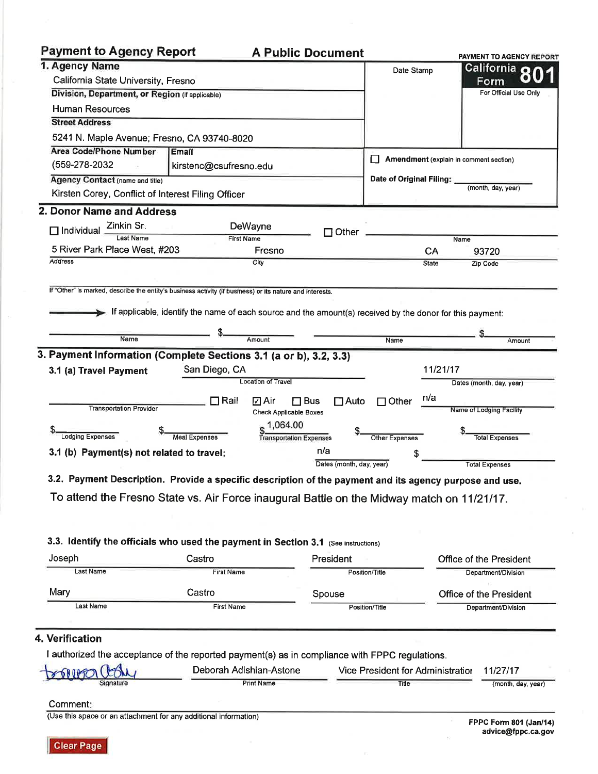# **Payment to Agency Report**

## **A Public Document**

|                                                                                                                                    |                         |                                    |                                                                                                           | PAYMENT TO AGENCY REPORT |
|------------------------------------------------------------------------------------------------------------------------------------|-------------------------|------------------------------------|-----------------------------------------------------------------------------------------------------------|--------------------------|
| 1. Agency Name                                                                                                                     |                         |                                    | Date Stamp                                                                                                | California o             |
| California State University, Fresno                                                                                                |                         |                                    |                                                                                                           | Form                     |
| Division, Department, or Region (if applicable)                                                                                    |                         |                                    |                                                                                                           | For Official Use Only    |
| <b>Human Resources</b>                                                                                                             |                         |                                    |                                                                                                           |                          |
| <b>Street Address</b>                                                                                                              |                         |                                    |                                                                                                           |                          |
| 5241 N. Maple Avenue; Fresno, CA 93740-8020                                                                                        |                         |                                    |                                                                                                           |                          |
| <b>Area Code/Phone Number</b>                                                                                                      | Email                   |                                    |                                                                                                           |                          |
| (559-278-2032                                                                                                                      | kirstenc@csufresno.edu  |                                    | Amendment (explain in comment section)                                                                    |                          |
| Agency Contact (name and title)                                                                                                    |                         |                                    | Date of Original Filing:                                                                                  |                          |
|                                                                                                                                    |                         |                                    |                                                                                                           | (month, day, year)       |
| Kirsten Corey, Conflict of Interest Filing Officer                                                                                 |                         |                                    |                                                                                                           |                          |
| 2. Donor Name and Address                                                                                                          |                         |                                    |                                                                                                           |                          |
| Zinkin Sr.<br>$\Box$ Individual                                                                                                    | DeWayne                 | Other                              |                                                                                                           |                          |
| Last Name                                                                                                                          | <b>First Name</b>       |                                    |                                                                                                           | Name                     |
| 5 River Park Place West, #203                                                                                                      |                         | Fresno                             | CA                                                                                                        | 93720                    |
| <b>Address</b>                                                                                                                     | City                    |                                    | <b>State</b>                                                                                              | Zip Code                 |
|                                                                                                                                    |                         |                                    |                                                                                                           |                          |
| If "Other" is marked, describe the entity's business activity (if business) or its nature and interests.                           |                         |                                    |                                                                                                           |                          |
|                                                                                                                                    |                         |                                    | If applicable, identify the name of each source and the amount(s) received by the donor for this payment: |                          |
|                                                                                                                                    |                         |                                    |                                                                                                           |                          |
| Name                                                                                                                               | Amount                  |                                    | Name                                                                                                      | Amount                   |
|                                                                                                                                    |                         |                                    |                                                                                                           |                          |
| 3. Payment Information (Complete Sections 3.1 (a or b), 3.2, 3.3)                                                                  |                         |                                    |                                                                                                           |                          |
| 3.1 (a) Travel Payment                                                                                                             | San Diego, CA           |                                    | 11/21/17                                                                                                  |                          |
|                                                                                                                                    |                         | <b>Location of Travel</b>          |                                                                                                           | Dates (month, day, year) |
|                                                                                                                                    | $\square$ Rail          | $\Box$ Bus<br>☑ Air<br>$\Box$ Auto | n/a<br>$\Box$ Other                                                                                       |                          |
| <b>Transportation Provider</b>                                                                                                     |                         | <b>Check Applicable Boxes</b>      |                                                                                                           | Name of Lodging Facility |
|                                                                                                                                    |                         | 1.064.00                           |                                                                                                           |                          |
| <b>Lodging Expenses</b>                                                                                                            | <b>Meal Expenses</b>    | <b>Transportation Expenses</b>     | Other Expenses                                                                                            | <b>Total Expenses</b>    |
| 3.1 (b) Payment(s) not related to travel:                                                                                          |                         | n/a                                | \$                                                                                                        |                          |
|                                                                                                                                    |                         | Dates (month, day, year)           |                                                                                                           | <b>Total Expenses</b>    |
| 3.2. Payment Description. Provide a specific description of the payment and its agency purpose and use.                            |                         |                                    |                                                                                                           |                          |
|                                                                                                                                    |                         |                                    |                                                                                                           |                          |
|                                                                                                                                    |                         |                                    |                                                                                                           |                          |
| To attend the Fresno State vs. Air Force inaugural Battle on the Midway match on 11/21/17.                                         |                         |                                    |                                                                                                           |                          |
|                                                                                                                                    |                         |                                    |                                                                                                           |                          |
|                                                                                                                                    |                         |                                    |                                                                                                           |                          |
|                                                                                                                                    |                         |                                    |                                                                                                           |                          |
|                                                                                                                                    |                         |                                    |                                                                                                           |                          |
| 3.3. Identify the officials who used the payment in Section 3.1 (See instructions)<br>Joseph                                       | Castro                  | President                          |                                                                                                           | Office of the President  |
| <b>Last Name</b>                                                                                                                   | <b>First Name</b>       |                                    | Position/Title                                                                                            | Department/Division      |
|                                                                                                                                    |                         |                                    |                                                                                                           |                          |
|                                                                                                                                    | Castro                  | Spouse                             |                                                                                                           | Office of the President  |
| Last Name                                                                                                                          | <b>First Name</b>       |                                    | Position/Title                                                                                            | Department/Division      |
|                                                                                                                                    |                         |                                    |                                                                                                           |                          |
|                                                                                                                                    |                         |                                    |                                                                                                           |                          |
|                                                                                                                                    |                         |                                    |                                                                                                           |                          |
|                                                                                                                                    |                         |                                    |                                                                                                           |                          |
| Mary<br>4. Verification<br>I authorized the acceptance of the reported payment(s) as in compliance with FPPC regulations.<br>60005 | Deborah Adishian-Astone |                                    | Vice President for Administration                                                                         | 11/27/17                 |
| Signature                                                                                                                          | <b>Print Name</b>       |                                    | Title                                                                                                     | (month, day, year)       |

Clear Page

 $\mathcal{L}$ 

 $\overline{\mathbb{R}}$